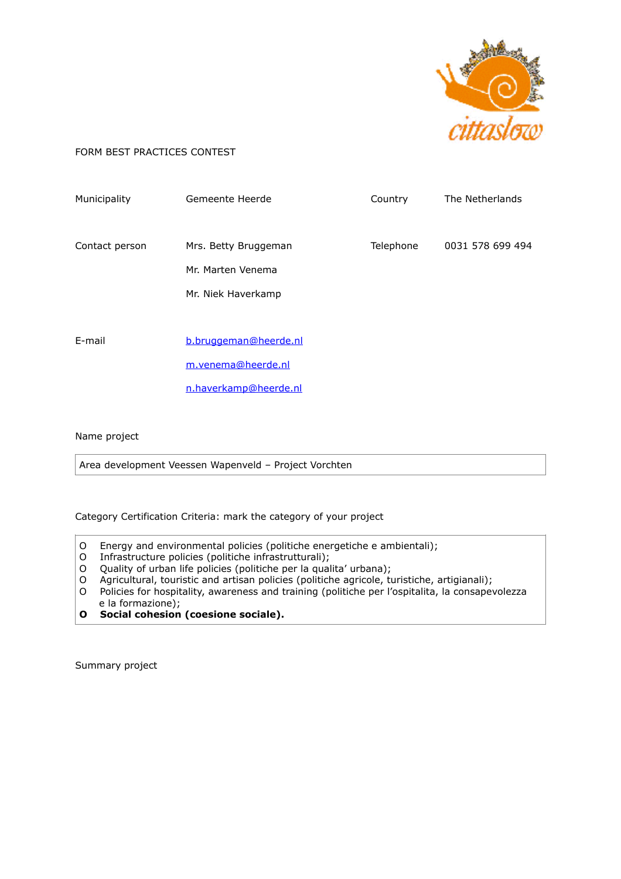

## FORM BEST PRACTICES CONTEST

| Municipality   | Gemeente Heerde                                                      | Country   | The Netherlands  |
|----------------|----------------------------------------------------------------------|-----------|------------------|
| Contact person | Mrs. Betty Bruggeman<br>Mr. Marten Venema<br>Mr. Niek Haverkamp      | Telephone | 0031 578 699 494 |
| E-mail         | b.bruggeman@heerde.nl<br>m.venema@heerde.nl<br>n.haverkamp@heerde.nl |           |                  |

Name project

Area development Veessen Wapenveld – Project Vorchten

Category Certification Criteria: mark the category of your project

- O Energy and environmental policies (politiche energetiche e ambientali);
- O Infrastructure policies (politiche infrastrutturali);
- O Quality of urban life policies (politiche per la qualita' urbana);<br>O Agricultural, touristic and artisan policies (politiche agricole, to
- O Agricultural, touristic and artisan policies (politiche agricole, turistiche, artigianali);<br>O Policies for hospitality, awareness and training (politiche per l'ospitalita, la consapev
- Policies for hospitality, awareness and training (politiche per l'ospitalita, la consapevolezza e la formazione);
- **O Social cohesion (coesione sociale).**

Summary project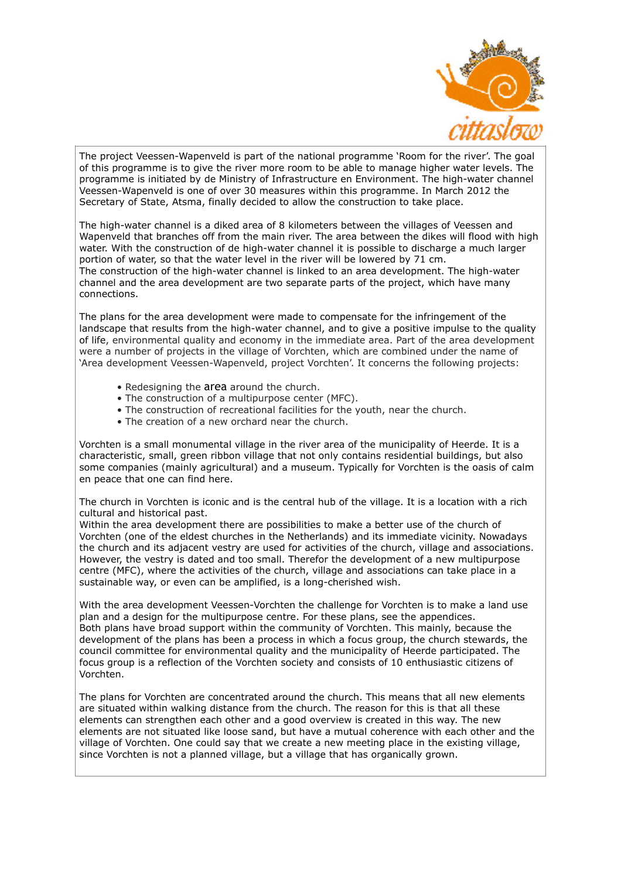

The project Veessen-Wapenveld is part of the national programme 'Room for the river'. The goal of this programme is to give the river more room to be able to manage higher water levels. The programme is initiated by de Ministry of Infrastructure en Environment. The high-water channel Veessen-Wapenveld is one of over 30 measures within this programme. In March 2012 the Secretary of State, Atsma, finally decided to allow the construction to take place.

The high-water channel is a diked area of 8 kilometers between the villages of Veessen and Wapenveld that branches off from the main river. The area between the dikes will flood with high water. With the construction of de high-water channel it is possible to discharge a much larger portion of water, so that the water level in the river will be lowered by 71 cm. The construction of the high-water channel is linked to an area development. The high-water channel and the area development are two separate parts of the project, which have many connections.

The plans for the area development were made to compensate for the infringement of the landscape that results from the high-water channel, and to give a positive impulse to the quality of life, environmental quality and economy in the immediate area. Part of the area development were a number of projects in the village of Vorchten, which are combined under the name of 'Area development Veessen-Wapenveld, project Vorchten'. It concerns the following projects:

- Redesigning the area around the church.
- The construction of a multipurpose center (MFC).
- The construction of recreational facilities for the youth, near the church.
- The creation of a new orchard near the church.

Vorchten is a small monumental village in the river area of the municipality of Heerde. It is a characteristic, small, green ribbon village that not only contains residential buildings, but also some companies (mainly agricultural) and a museum. Typically for Vorchten is the oasis of calm en peace that one can find here.

The church in Vorchten is iconic and is the central hub of the village. It is a location with a rich cultural and historical past.

Within the area development there are possibilities to make a better use of the church of Vorchten (one of the eldest churches in the Netherlands) and its immediate vicinity. Nowadays the church and its adjacent vestry are used for activities of the church, village and associations. However, the vestry is dated and too small. Therefor the development of a new multipurpose centre (MFC), where the activities of the church, village and associations can take place in a sustainable way, or even can be amplified, is a long-cherished wish.

With the area development Veessen-Vorchten the challenge for Vorchten is to make a land use plan and a design for the multipurpose centre. For these plans, see the appendices. Both plans have broad support within the community of Vorchten. This mainly, because the development of the plans has been a process in which a focus group, the church stewards, the council committee for environmental quality and the municipality of Heerde participated. The focus group is a reflection of the Vorchten society and consists of 10 enthusiastic citizens of Vorchten.

The plans for Vorchten are concentrated around the church. This means that all new elements are situated within walking distance from the church. The reason for this is that all these elements can strengthen each other and a good overview is created in this way. The new elements are not situated like loose sand, but have a mutual coherence with each other and the village of Vorchten. One could say that we create a new meeting place in the existing village, since Vorchten is not a planned village, but a village that has organically grown.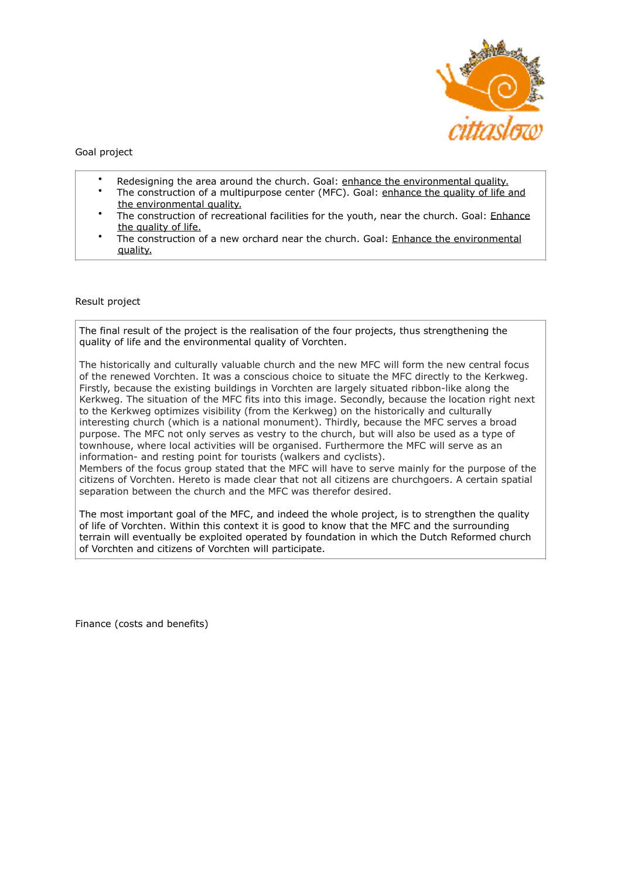

Goal project

- Redesigning the area around the church. Goal: enhance the environmental quality.
- The construction of a multipurpose center (MFC). Goal: enhance the quality of life and the environmental quality.
- The construction of recreational facilities for the youth, near the church. Goal: Enhance the quality of life.
- The construction of a new orchard near the church. Goal: Enhance the environmental quality.

## Result project

The final result of the project is the realisation of the four projects, thus strengthening the quality of life and the environmental quality of Vorchten.

The historically and culturally valuable church and the new MFC will form the new central focus of the renewed Vorchten. It was a conscious choice to situate the MFC directly to the Kerkweg. Firstly, because the existing buildings in Vorchten are largely situated ribbon-like along the Kerkweg. The situation of the MFC fits into this image. Secondly, because the location right next to the Kerkweg optimizes visibility (from the Kerkweg) on the historically and culturally interesting church (which is a national monument). Thirdly, because the MFC serves a broad purpose. The MFC not only serves as vestry to the church, but will also be used as a type of townhouse, where local activities will be organised. Furthermore the MFC will serve as an information- and resting point for tourists (walkers and cyclists).

Members of the focus group stated that the MFC will have to serve mainly for the purpose of the citizens of Vorchten. Hereto is made clear that not all citizens are churchgoers. A certain spatial separation between the church and the MFC was therefor desired.

The most important goal of the MFC, and indeed the whole project, is to strengthen the quality of life of Vorchten. Within this context it is good to know that the MFC and the surrounding terrain will eventually be exploited operated by foundation in which the Dutch Reformed church of Vorchten and citizens of Vorchten will participate.

Finance (costs and benefits)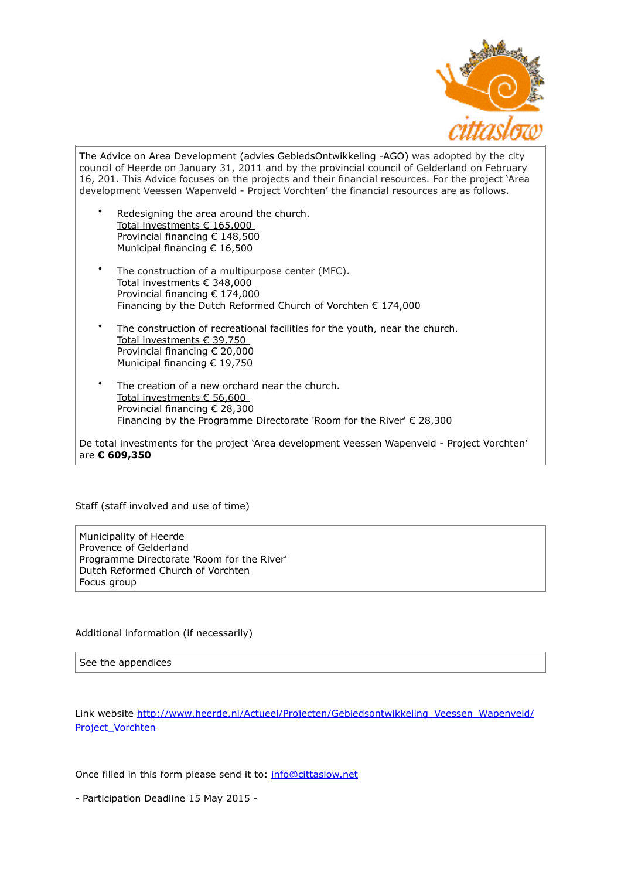

The Advice on Area Development (advies GebiedsOntwikkeling -AGO) was adopted by the city council of Heerde on January 31, 2011 and by the provincial council of Gelderland on February 16, 201. This Advice focuses on the projects and their financial resources. For the project 'Area development Veessen Wapenveld - Project Vorchten' the financial resources are as follows.

- Redesigning the area around the church. Total investments € 165,000 Provincial financing € 148,500 Municipal financing € 16,500
- The construction of a multipurpose center (MFC). Total investments € 348,000 Provincial financing € 174,000 Financing by the Dutch Reformed Church of Vorchten € 174,000
- The construction of recreational facilities for the youth, near the church. Total investments € 39,750 Provincial financing € 20,000 Municipal financing € 19,750
- The creation of a new orchard near the church. Total investments € 56,600 Provincial financing € 28,300 Financing by the Programme Directorate 'Room for the River' € 28,300

De total investments for the project 'Area development Veessen Wapenveld - Project Vorchten' are **€ 609,350**

## Staff (staff involved and use of time)

Municipality of Heerde Provence of Gelderland Programme Directorate 'Room for the River' Dutch Reformed Church of Vorchten Focus group

# Additional information (if necessarily)

### See the appendices

[Link website http://www.heerde.nl/Actueel/Projecten/Gebiedsontwikkeling\\_Veessen\\_Wapenveld/](http://www.heerde.nl/Actueel/Projecten/Gebiedsontwikkeling_Veessen_Wapenveld/Project_Vorchten) [Project\\_Vorchten](http://www.heerde.nl/Actueel/Projecten/Gebiedsontwikkeling_Veessen_Wapenveld/Project_Vorchten)

Once filled in this form please send it to: [info@cittaslow.net](mailto:info@cittaslow.net) 

- Participation Deadline 15 May 2015 -